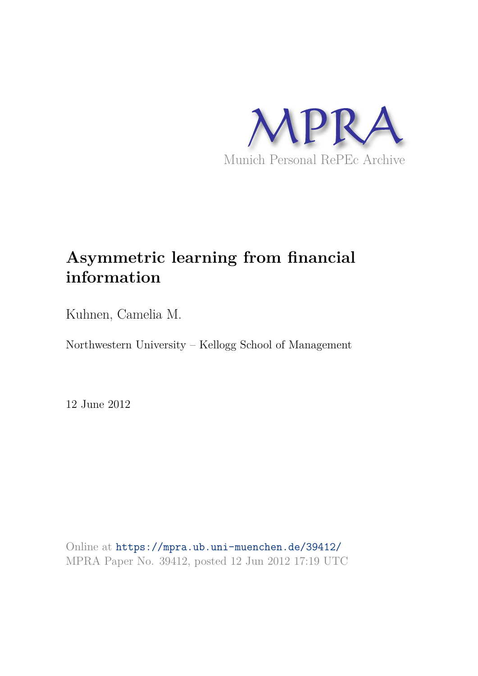

# **Asymmetric learning from financial information**

Kuhnen, Camelia M.

Northwestern University – Kellogg School of Management

12 June 2012

Online at https://mpra.ub.uni-muenchen.de/39412/ MPRA Paper No. 39412, posted 12 Jun 2012 17:19 UTC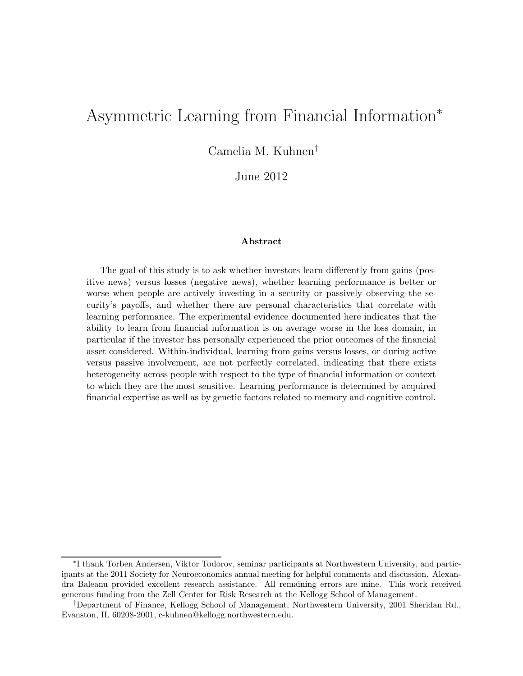# Asymmetric Learning from Financial Information<sup>∗</sup>

Camelia M. Kuhnen†

June 2012

#### Abstract

The goal of this study is to ask whether investors learn differently from gains (positive news) versus losses (negative news), whether learning performance is better or worse when people are actively investing in a security or passively observing the security's payoffs, and whether there are personal characteristics that correlate with learning performance. The experimental evidence documented here indicates that the ability to learn from financial information is on average worse in the loss domain, in particular if the investor has personally experienced the prior outcomes of the financial asset considered. Within-individual, learning from gains versus losses, or during active versus passive involvement, are not perfectly correlated, indicating that there exists heterogeneity across people with respect to the type of financial information or context to which they are the most sensitive. Learning performance is determined by acquired financial expertise as well as by genetic factors related to memory and cognitive control.

<sup>∗</sup> I thank Torben Andersen, Viktor Todorov, seminar participants at Northwestern University, and participants at the 2011 Society for Neuroeconomics annual meeting for helpful comments and discussion. Alexandra Baleanu provided excellent research assistance. All remaining errors are mine. This work received generous funding from the Zell Center for Risk Research at the Kellogg School of Management.

<sup>†</sup>Department of Finance, Kellogg School of Management, Northwestern University, 2001 Sheridan Rd., Evanston, IL 60208-2001, c-kuhnen@kellogg.northwestern.edu.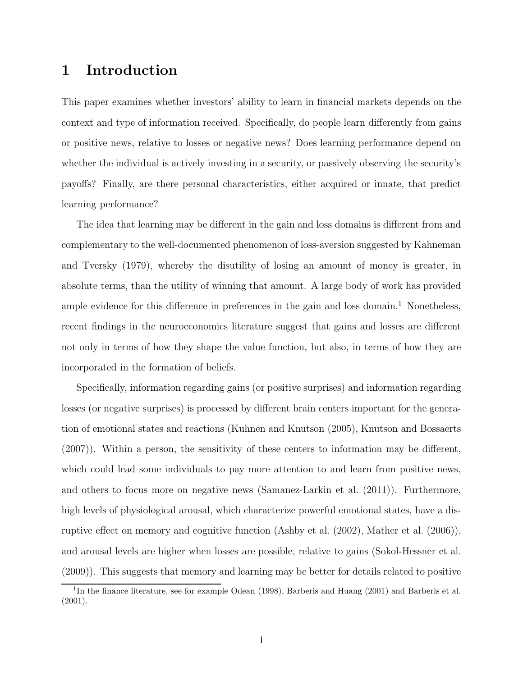# 1 Introduction

This paper examines whether investors' ability to learn in financial markets depends on the context and type of information received. Specifically, do people learn differently from gains or positive news, relative to losses or negative news? Does learning performance depend on whether the individual is actively investing in a security, or passively observing the security's payoffs? Finally, are there personal characteristics, either acquired or innate, that predict learning performance?

The idea that learning may be different in the gain and loss domains is different from and complementary to the well-documented phenomenon of loss-aversion suggested by Kahneman and Tversky (1979), whereby the disutility of losing an amount of money is greater, in absolute terms, than the utility of winning that amount. A large body of work has provided ample evidence for this difference in preferences in the gain and loss domain.<sup>1</sup> Nonetheless, recent findings in the neuroeconomics literature suggest that gains and losses are different not only in terms of how they shape the value function, but also, in terms of how they are incorporated in the formation of beliefs.

Specifically, information regarding gains (or positive surprises) and information regarding losses (or negative surprises) is processed by different brain centers important for the generation of emotional states and reactions (Kuhnen and Knutson (2005), Knutson and Bossaerts (2007)). Within a person, the sensitivity of these centers to information may be different, which could lead some individuals to pay more attention to and learn from positive news, and others to focus more on negative news (Samanez-Larkin et al. (2011)). Furthermore, high levels of physiological arousal, which characterize powerful emotional states, have a disruptive effect on memory and cognitive function (Ashby et al. (2002), Mather et al. (2006)), and arousal levels are higher when losses are possible, relative to gains (Sokol-Hessner et al. (2009)). This suggests that memory and learning may be better for details related to positive

<sup>&</sup>lt;sup>1</sup>In the finance literature, see for example Odean (1998), Barberis and Huang (2001) and Barberis et al. (2001).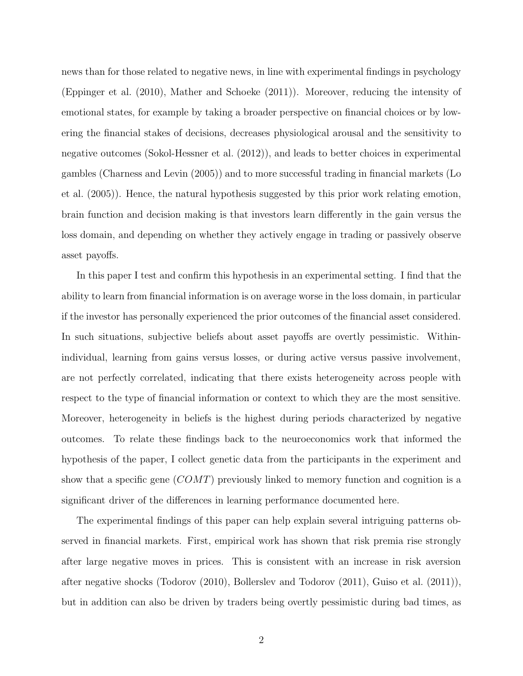news than for those related to negative news, in line with experimental findings in psychology (Eppinger et al. (2010), Mather and Schoeke (2011)). Moreover, reducing the intensity of emotional states, for example by taking a broader perspective on financial choices or by lowering the financial stakes of decisions, decreases physiological arousal and the sensitivity to negative outcomes (Sokol-Hessner et al. (2012)), and leads to better choices in experimental gambles (Charness and Levin (2005)) and to more successful trading in financial markets (Lo et al. (2005)). Hence, the natural hypothesis suggested by this prior work relating emotion, brain function and decision making is that investors learn differently in the gain versus the loss domain, and depending on whether they actively engage in trading or passively observe asset payoffs.

In this paper I test and confirm this hypothesis in an experimental setting. I find that the ability to learn from financial information is on average worse in the loss domain, in particular if the investor has personally experienced the prior outcomes of the financial asset considered. In such situations, subjective beliefs about asset payoffs are overtly pessimistic. Withinindividual, learning from gains versus losses, or during active versus passive involvement, are not perfectly correlated, indicating that there exists heterogeneity across people with respect to the type of financial information or context to which they are the most sensitive. Moreover, heterogeneity in beliefs is the highest during periods characterized by negative outcomes. To relate these findings back to the neuroeconomics work that informed the hypothesis of the paper, I collect genetic data from the participants in the experiment and show that a specific gene  $(COMT)$  previously linked to memory function and cognition is a significant driver of the differences in learning performance documented here.

The experimental findings of this paper can help explain several intriguing patterns observed in financial markets. First, empirical work has shown that risk premia rise strongly after large negative moves in prices. This is consistent with an increase in risk aversion after negative shocks (Todorov (2010), Bollerslev and Todorov (2011), Guiso et al. (2011)), but in addition can also be driven by traders being overtly pessimistic during bad times, as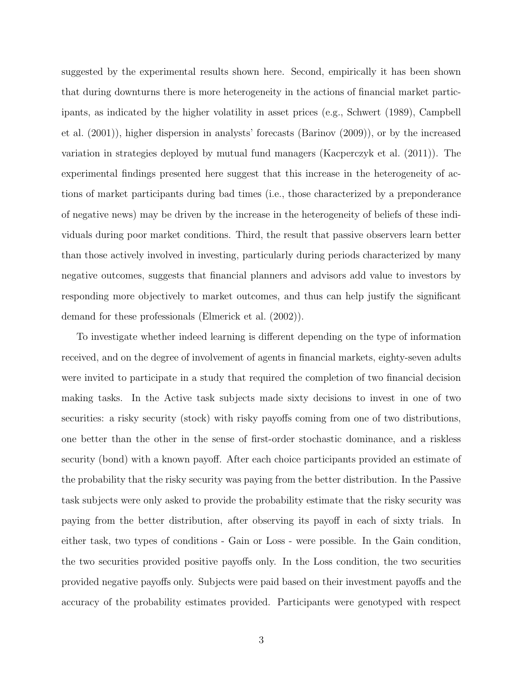suggested by the experimental results shown here. Second, empirically it has been shown that during downturns there is more heterogeneity in the actions of financial market participants, as indicated by the higher volatility in asset prices (e.g., Schwert (1989), Campbell et al. (2001)), higher dispersion in analysts' forecasts (Barinov (2009)), or by the increased variation in strategies deployed by mutual fund managers (Kacperczyk et al. (2011)). The experimental findings presented here suggest that this increase in the heterogeneity of actions of market participants during bad times (i.e., those characterized by a preponderance of negative news) may be driven by the increase in the heterogeneity of beliefs of these individuals during poor market conditions. Third, the result that passive observers learn better than those actively involved in investing, particularly during periods characterized by many negative outcomes, suggests that financial planners and advisors add value to investors by responding more objectively to market outcomes, and thus can help justify the significant demand for these professionals (Elmerick et al. (2002)).

To investigate whether indeed learning is different depending on the type of information received, and on the degree of involvement of agents in financial markets, eighty-seven adults were invited to participate in a study that required the completion of two financial decision making tasks. In the Active task subjects made sixty decisions to invest in one of two securities: a risky security (stock) with risky payoffs coming from one of two distributions, one better than the other in the sense of first-order stochastic dominance, and a riskless security (bond) with a known payoff. After each choice participants provided an estimate of the probability that the risky security was paying from the better distribution. In the Passive task subjects were only asked to provide the probability estimate that the risky security was paying from the better distribution, after observing its payoff in each of sixty trials. In either task, two types of conditions - Gain or Loss - were possible. In the Gain condition, the two securities provided positive payoffs only. In the Loss condition, the two securities provided negative payoffs only. Subjects were paid based on their investment payoffs and the accuracy of the probability estimates provided. Participants were genotyped with respect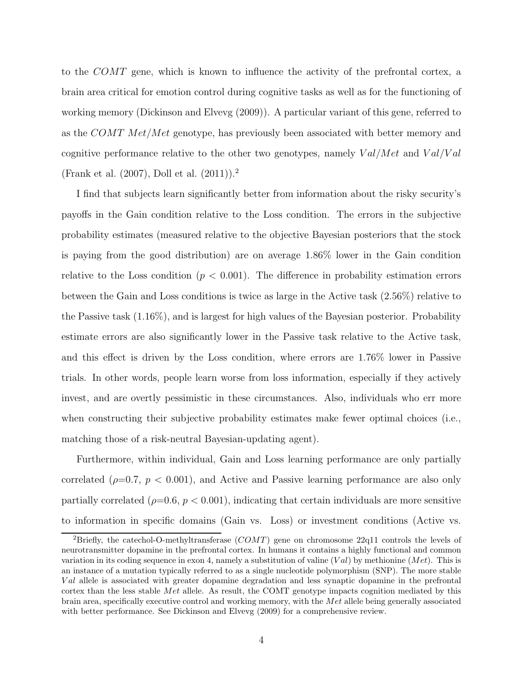to the COMT gene, which is known to influence the activity of the prefrontal cortex, a brain area critical for emotion control during cognitive tasks as well as for the functioning of working memory (Dickinson and Elvevg (2009)). A particular variant of this gene, referred to as the COMT Met/Met genotype, has previously been associated with better memory and cognitive performance relative to the other two genotypes, namely  $Val/Met$  and  $Val/Val$ (Frank et al. (2007), Doll et al. (2011)).<sup>2</sup>

I find that subjects learn significantly better from information about the risky security's payoffs in the Gain condition relative to the Loss condition. The errors in the subjective probability estimates (measured relative to the objective Bayesian posteriors that the stock is paying from the good distribution) are on average 1.86% lower in the Gain condition relative to the Loss condition  $(p < 0.001)$ . The difference in probability estimation errors between the Gain and Loss conditions is twice as large in the Active task (2.56%) relative to the Passive task (1.16%), and is largest for high values of the Bayesian posterior. Probability estimate errors are also significantly lower in the Passive task relative to the Active task, and this effect is driven by the Loss condition, where errors are 1.76% lower in Passive trials. In other words, people learn worse from loss information, especially if they actively invest, and are overtly pessimistic in these circumstances. Also, individuals who err more when constructing their subjective probability estimates make fewer optimal choices (i.e., matching those of a risk-neutral Bayesian-updating agent).

Furthermore, within individual, Gain and Loss learning performance are only partially correlated ( $\rho=0.7$ ,  $p < 0.001$ ), and Active and Passive learning performance are also only partially correlated ( $\rho$ =0.6,  $p$  < 0.001), indicating that certain individuals are more sensitive to information in specific domains (Gain vs. Loss) or investment conditions (Active vs.

<sup>&</sup>lt;sup>2</sup>Briefly, the catechol-O-methyltransferase  $(COMT)$  gene on chromosome 22q11 controls the levels of neurotransmitter dopamine in the prefrontal cortex. In humans it contains a highly functional and common variation in its coding sequence in exon 4, namely a substitution of valine  $(Val)$  by methionine  $(Met)$ . This is an instance of a mutation typically referred to as a single nucleotide polymorphism (SNP). The more stable Val allele is associated with greater dopamine degradation and less synaptic dopamine in the prefrontal cortex than the less stable Met allele. As result, the COMT genotype impacts cognition mediated by this brain area, specifically executive control and working memory, with the Met allele being generally associated with better performance. See Dickinson and Elvevg (2009) for a comprehensive review.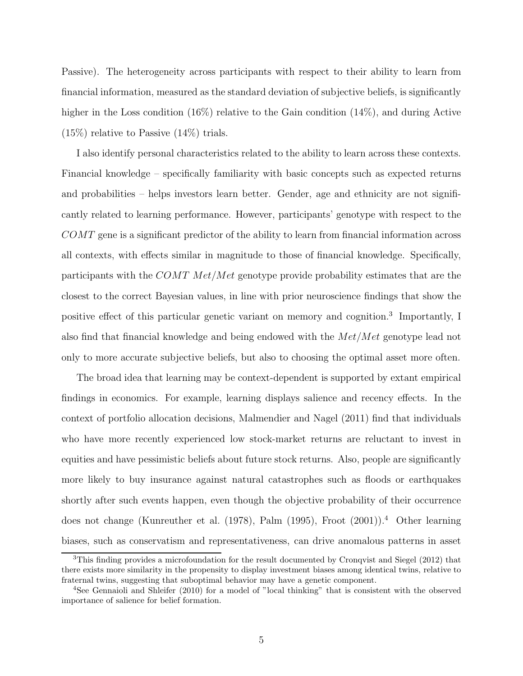Passive). The heterogeneity across participants with respect to their ability to learn from financial information, measured as the standard deviation of subjective beliefs, is significantly higher in the Loss condition (16%) relative to the Gain condition (14%), and during Active (15%) relative to Passive (14%) trials.

I also identify personal characteristics related to the ability to learn across these contexts. Financial knowledge – specifically familiarity with basic concepts such as expected returns and probabilities – helps investors learn better. Gender, age and ethnicity are not significantly related to learning performance. However, participants' genotype with respect to the COMT gene is a significant predictor of the ability to learn from financial information across all contexts, with effects similar in magnitude to those of financial knowledge. Specifically, participants with the COMT Met/Met genotype provide probability estimates that are the closest to the correct Bayesian values, in line with prior neuroscience findings that show the positive effect of this particular genetic variant on memory and cognition.<sup>3</sup> Importantly, I also find that financial knowledge and being endowed with the Met/Met genotype lead not only to more accurate subjective beliefs, but also to choosing the optimal asset more often.

The broad idea that learning may be context-dependent is supported by extant empirical findings in economics. For example, learning displays salience and recency effects. In the context of portfolio allocation decisions, Malmendier and Nagel (2011) find that individuals who have more recently experienced low stock-market returns are reluctant to invest in equities and have pessimistic beliefs about future stock returns. Also, people are significantly more likely to buy insurance against natural catastrophes such as floods or earthquakes shortly after such events happen, even though the objective probability of their occurrence does not change (Kunreuther et al. (1978), Palm (1995), Froot (2001)).<sup>4</sup> Other learning biases, such as conservatism and representativeness, can drive anomalous patterns in asset

<sup>&</sup>lt;sup>3</sup>This finding provides a microfoundation for the result documented by Cronqvist and Siegel (2012) that there exists more similarity in the propensity to display investment biases among identical twins, relative to fraternal twins, suggesting that suboptimal behavior may have a genetic component.

<sup>4</sup>See Gennaioli and Shleifer (2010) for a model of "local thinking" that is consistent with the observed importance of salience for belief formation.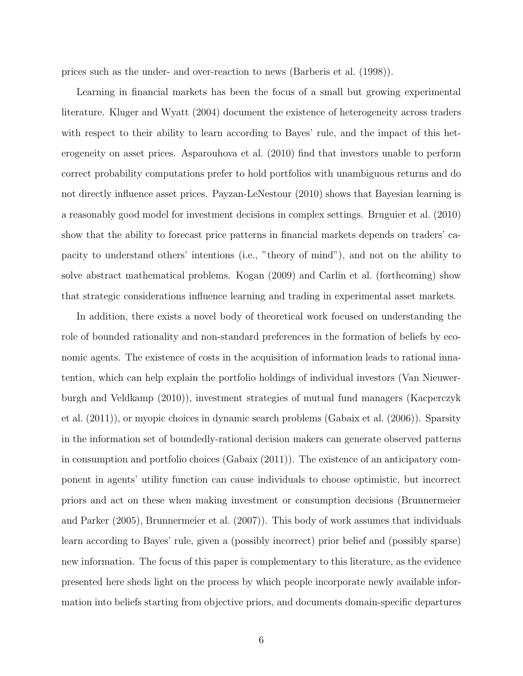prices such as the under- and over-reaction to news (Barberis et al. (1998)).

Learning in financial markets has been the focus of a small but growing experimental literature. Kluger and Wyatt (2004) document the existence of heterogeneity across traders with respect to their ability to learn according to Bayes' rule, and the impact of this heterogeneity on asset prices. Asparouhova et al. (2010) find that investors unable to perform correct probability computations prefer to hold portfolios with unambiguous returns and do not directly influence asset prices. Payzan-LeNestour (2010) shows that Bayesian learning is a reasonably good model for investment decisions in complex settings. Bruguier et al. (2010) show that the ability to forecast price patterns in financial markets depends on traders' capacity to understand others' intentions (i.e., "theory of mind"), and not on the ability to solve abstract mathematical problems. Kogan (2009) and Carlin et al. (forthcoming) show that strategic considerations influence learning and trading in experimental asset markets.

In addition, there exists a novel body of theoretical work focused on understanding the role of bounded rationality and non-standard preferences in the formation of beliefs by economic agents. The existence of costs in the acquisition of information leads to rational innatention, which can help explain the portfolio holdings of individual investors (Van Nieuwerburgh and Veldkamp (2010)), investment strategies of mutual fund managers (Kacperczyk et al. (2011)), or myopic choices in dynamic search problems (Gabaix et al. (2006)). Sparsity in the information set of boundedly-rational decision makers can generate observed patterns in consumption and portfolio choices (Gabaix (2011)). The existence of an anticipatory component in agents' utility function can cause individuals to choose optimistic, but incorrect priors and act on these when making investment or consumption decisions (Brunnermeier and Parker (2005), Brunnermeier et al. (2007)). This body of work assumes that individuals learn according to Bayes' rule, given a (possibly incorrect) prior belief and (possibly sparse) new information. The focus of this paper is complementary to this literature, as the evidence presented here sheds light on the process by which people incorporate newly available information into beliefs starting from objective priors, and documents domain-specific departures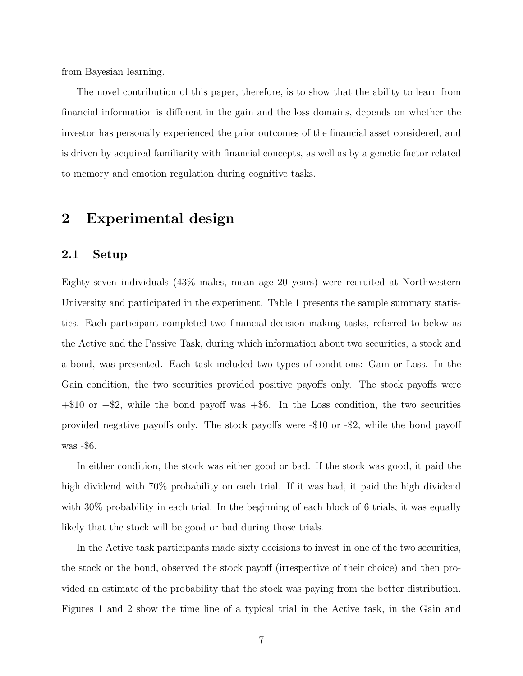from Bayesian learning.

The novel contribution of this paper, therefore, is to show that the ability to learn from financial information is different in the gain and the loss domains, depends on whether the investor has personally experienced the prior outcomes of the financial asset considered, and is driven by acquired familiarity with financial concepts, as well as by a genetic factor related to memory and emotion regulation during cognitive tasks.

## 2 Experimental design

### 2.1 Setup

Eighty-seven individuals (43% males, mean age 20 years) were recruited at Northwestern University and participated in the experiment. Table 1 presents the sample summary statistics. Each participant completed two financial decision making tasks, referred to below as the Active and the Passive Task, during which information about two securities, a stock and a bond, was presented. Each task included two types of conditions: Gain or Loss. In the Gain condition, the two securities provided positive payoffs only. The stock payoffs were  $+\$10$  or  $+\$2$ , while the bond payoff was  $+\$6$ . In the Loss condition, the two securities provided negative payoffs only. The stock payoffs were -\$10 or -\$2, while the bond payoff was -\$6.

In either condition, the stock was either good or bad. If the stock was good, it paid the high dividend with 70% probability on each trial. If it was bad, it paid the high dividend with 30% probability in each trial. In the beginning of each block of 6 trials, it was equally likely that the stock will be good or bad during those trials.

In the Active task participants made sixty decisions to invest in one of the two securities, the stock or the bond, observed the stock payoff (irrespective of their choice) and then provided an estimate of the probability that the stock was paying from the better distribution. Figures 1 and 2 show the time line of a typical trial in the Active task, in the Gain and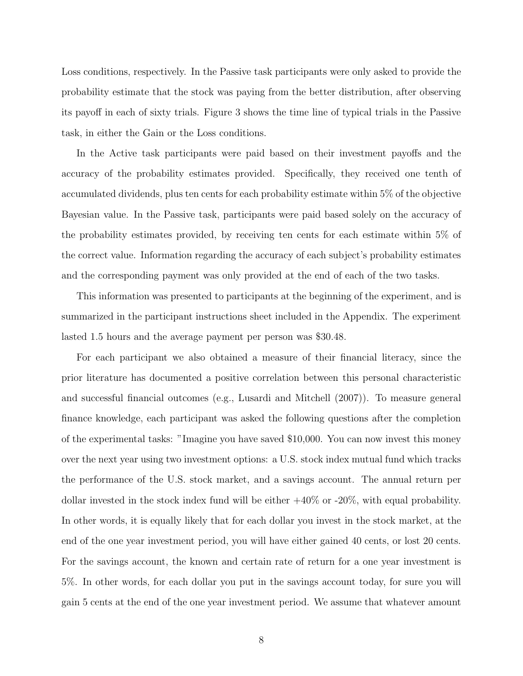Loss conditions, respectively. In the Passive task participants were only asked to provide the probability estimate that the stock was paying from the better distribution, after observing its payoff in each of sixty trials. Figure 3 shows the time line of typical trials in the Passive task, in either the Gain or the Loss conditions.

In the Active task participants were paid based on their investment payoffs and the accuracy of the probability estimates provided. Specifically, they received one tenth of accumulated dividends, plus ten cents for each probability estimate within 5% of the objective Bayesian value. In the Passive task, participants were paid based solely on the accuracy of the probability estimates provided, by receiving ten cents for each estimate within 5% of the correct value. Information regarding the accuracy of each subject's probability estimates and the corresponding payment was only provided at the end of each of the two tasks.

This information was presented to participants at the beginning of the experiment, and is summarized in the participant instructions sheet included in the Appendix. The experiment lasted 1.5 hours and the average payment per person was \$30.48.

For each participant we also obtained a measure of their financial literacy, since the prior literature has documented a positive correlation between this personal characteristic and successful financial outcomes (e.g., Lusardi and Mitchell (2007)). To measure general finance knowledge, each participant was asked the following questions after the completion of the experimental tasks: "Imagine you have saved \$10,000. You can now invest this money over the next year using two investment options: a U.S. stock index mutual fund which tracks the performance of the U.S. stock market, and a savings account. The annual return per dollar invested in the stock index fund will be either +40% or -20%, with equal probability. In other words, it is equally likely that for each dollar you invest in the stock market, at the end of the one year investment period, you will have either gained 40 cents, or lost 20 cents. For the savings account, the known and certain rate of return for a one year investment is 5%. In other words, for each dollar you put in the savings account today, for sure you will gain 5 cents at the end of the one year investment period. We assume that whatever amount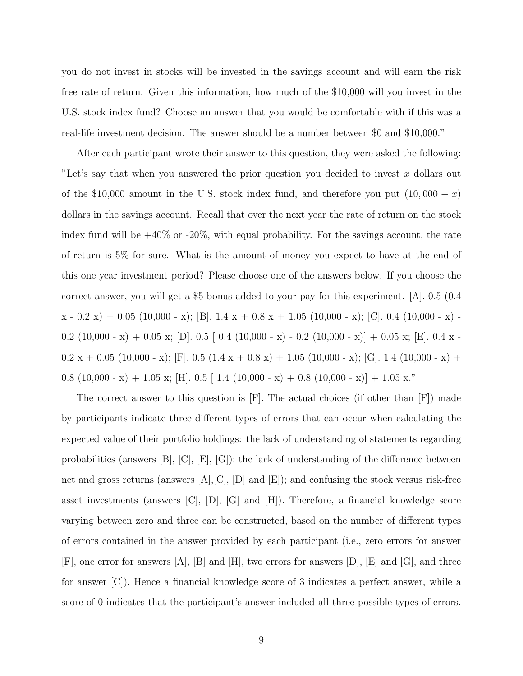you do not invest in stocks will be invested in the savings account and will earn the risk free rate of return. Given this information, how much of the \$10,000 will you invest in the U.S. stock index fund? Choose an answer that you would be comfortable with if this was a real-life investment decision. The answer should be a number between \$0 and \$10,000."

After each participant wrote their answer to this question, they were asked the following: "Let's say that when you answered the prior question you decided to invest x dollars out of the \$10,000 amount in the U.S. stock index fund, and therefore you put  $(10,000 - x)$ dollars in the savings account. Recall that over the next year the rate of return on the stock index fund will be  $+40\%$  or  $-20\%$ , with equal probability. For the savings account, the rate of return is 5% for sure. What is the amount of money you expect to have at the end of this one year investment period? Please choose one of the answers below. If you choose the correct answer, you will get a \$5 bonus added to your pay for this experiment. [A]. 0.5 (0.4  $x - 0.2 x$  + 0.05 (10,000 - x); [B]. 1.4  $x + 0.8 x + 1.05$  (10,000 - x); [C]. 0.4 (10,000 - x) -0.2 (10,000 - x) + 0.05 x; [D]. 0.5 [ 0.4 (10,000 - x) - 0.2 (10,000 - x)] + 0.05 x; [E]. 0.4 x -0.2 x + 0.05 (10,000 - x); [F]. 0.5 (1.4 x + 0.8 x) + 1.05 (10,000 - x); [G]. 1.4 (10,000 - x) + 0.8 (10,000 - x) + 1.05 x; [H]. 0.5 [ 1.4 (10,000 - x) + 0.8 (10,000 - x)] + 1.05 x."

The correct answer to this question is [F]. The actual choices (if other than [F]) made by participants indicate three different types of errors that can occur when calculating the expected value of their portfolio holdings: the lack of understanding of statements regarding probabilities (answers [B], [C], [E], [G]); the lack of understanding of the difference between net and gross returns (answers [A],[C], [D] and [E]); and confusing the stock versus risk-free asset investments (answers [C], [D], [G] and [H]). Therefore, a financial knowledge score varying between zero and three can be constructed, based on the number of different types of errors contained in the answer provided by each participant (i.e., zero errors for answer [F], one error for answers [A], [B] and [H], two errors for answers [D], [E] and [G], and three for answer [C]). Hence a financial knowledge score of 3 indicates a perfect answer, while a score of 0 indicates that the participant's answer included all three possible types of errors.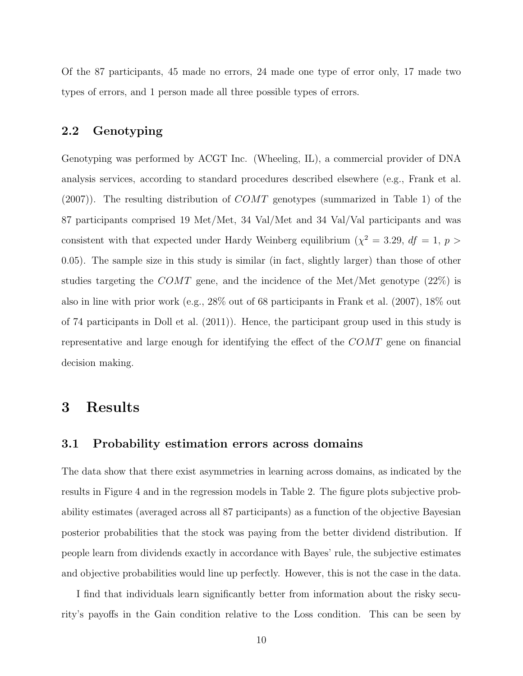Of the 87 participants, 45 made no errors, 24 made one type of error only, 17 made two types of errors, and 1 person made all three possible types of errors.

### 2.2 Genotyping

Genotyping was performed by ACGT Inc. (Wheeling, IL), a commercial provider of DNA analysis services, according to standard procedures described elsewhere (e.g., Frank et al.  $(2007)$ ). The resulting distribution of  $COMT$  genotypes (summarized in Table 1) of the 87 participants comprised 19 Met/Met, 34 Val/Met and 34 Val/Val participants and was consistent with that expected under Hardy Weinberg equilibrium ( $\chi^2 = 3.29$ ,  $df = 1$ ,  $p >$ 0.05). The sample size in this study is similar (in fact, slightly larger) than those of other studies targeting the COMT gene, and the incidence of the Met/Met genotype  $(22\%)$  is also in line with prior work (e.g., 28% out of 68 participants in Frank et al. (2007), 18% out of 74 participants in Doll et al. (2011)). Hence, the participant group used in this study is representative and large enough for identifying the effect of the COMT gene on financial decision making.

### 3 Results

### 3.1 Probability estimation errors across domains

The data show that there exist asymmetries in learning across domains, as indicated by the results in Figure 4 and in the regression models in Table 2. The figure plots subjective probability estimates (averaged across all 87 participants) as a function of the objective Bayesian posterior probabilities that the stock was paying from the better dividend distribution. If people learn from dividends exactly in accordance with Bayes' rule, the subjective estimates and objective probabilities would line up perfectly. However, this is not the case in the data.

I find that individuals learn significantly better from information about the risky security's payoffs in the Gain condition relative to the Loss condition. This can be seen by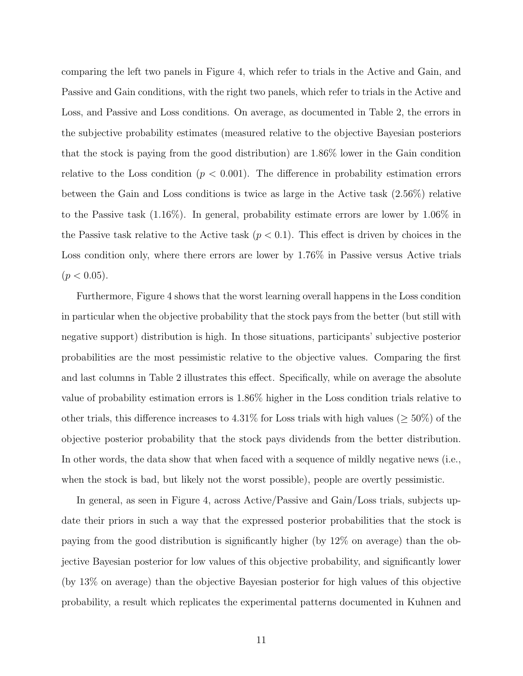comparing the left two panels in Figure 4, which refer to trials in the Active and Gain, and Passive and Gain conditions, with the right two panels, which refer to trials in the Active and Loss, and Passive and Loss conditions. On average, as documented in Table 2, the errors in the subjective probability estimates (measured relative to the objective Bayesian posteriors that the stock is paying from the good distribution) are 1.86% lower in the Gain condition relative to the Loss condition  $(p < 0.001)$ . The difference in probability estimation errors between the Gain and Loss conditions is twice as large in the Active task (2.56%) relative to the Passive task (1.16%). In general, probability estimate errors are lower by 1.06% in the Passive task relative to the Active task  $(p < 0.1)$ . This effect is driven by choices in the Loss condition only, where there errors are lower by 1.76% in Passive versus Active trials  $(p < 0.05)$ .

Furthermore, Figure 4 shows that the worst learning overall happens in the Loss condition in particular when the objective probability that the stock pays from the better (but still with negative support) distribution is high. In those situations, participants' subjective posterior probabilities are the most pessimistic relative to the objective values. Comparing the first and last columns in Table 2 illustrates this effect. Specifically, while on average the absolute value of probability estimation errors is 1.86% higher in the Loss condition trials relative to other trials, this difference increases to 4.31% for Loss trials with high values ( $\geq 50\%$ ) of the objective posterior probability that the stock pays dividends from the better distribution. In other words, the data show that when faced with a sequence of mildly negative news (i.e., when the stock is bad, but likely not the worst possible), people are overtly pessimistic.

In general, as seen in Figure 4, across Active/Passive and Gain/Loss trials, subjects update their priors in such a way that the expressed posterior probabilities that the stock is paying from the good distribution is significantly higher (by 12% on average) than the objective Bayesian posterior for low values of this objective probability, and significantly lower (by 13% on average) than the objective Bayesian posterior for high values of this objective probability, a result which replicates the experimental patterns documented in Kuhnen and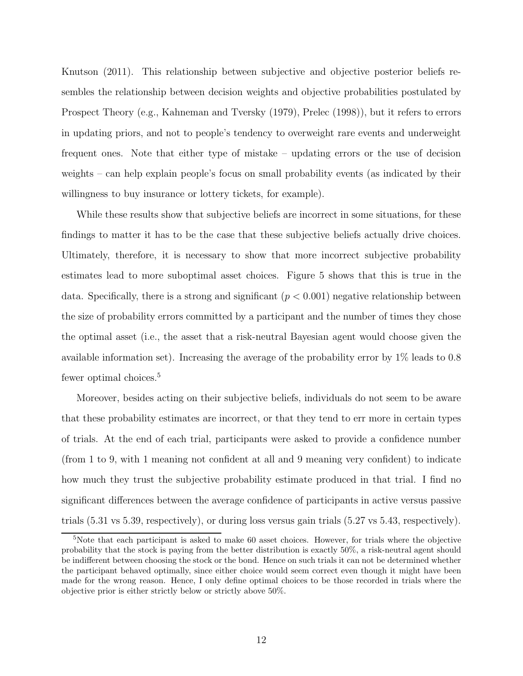Knutson (2011). This relationship between subjective and objective posterior beliefs resembles the relationship between decision weights and objective probabilities postulated by Prospect Theory (e.g., Kahneman and Tversky (1979), Prelec (1998)), but it refers to errors in updating priors, and not to people's tendency to overweight rare events and underweight frequent ones. Note that either type of mistake – updating errors or the use of decision weights – can help explain people's focus on small probability events (as indicated by their willingness to buy insurance or lottery tickets, for example).

While these results show that subjective beliefs are incorrect in some situations, for these findings to matter it has to be the case that these subjective beliefs actually drive choices. Ultimately, therefore, it is necessary to show that more incorrect subjective probability estimates lead to more suboptimal asset choices. Figure 5 shows that this is true in the data. Specifically, there is a strong and significant  $(p < 0.001)$  negative relationship between the size of probability errors committed by a participant and the number of times they chose the optimal asset (i.e., the asset that a risk-neutral Bayesian agent would choose given the available information set). Increasing the average of the probability error by 1% leads to 0.8 fewer optimal choices.<sup>5</sup>

Moreover, besides acting on their subjective beliefs, individuals do not seem to be aware that these probability estimates are incorrect, or that they tend to err more in certain types of trials. At the end of each trial, participants were asked to provide a confidence number (from 1 to 9, with 1 meaning not confident at all and 9 meaning very confident) to indicate how much they trust the subjective probability estimate produced in that trial. I find no significant differences between the average confidence of participants in active versus passive trials (5.31 vs 5.39, respectively), or during loss versus gain trials (5.27 vs 5.43, respectively).

<sup>&</sup>lt;sup>5</sup>Note that each participant is asked to make 60 asset choices. However, for trials where the objective probability that the stock is paying from the better distribution is exactly 50%, a risk-neutral agent should be indifferent between choosing the stock or the bond. Hence on such trials it can not be determined whether the participant behaved optimally, since either choice would seem correct even though it might have been made for the wrong reason. Hence, I only define optimal choices to be those recorded in trials where the objective prior is either strictly below or strictly above 50%.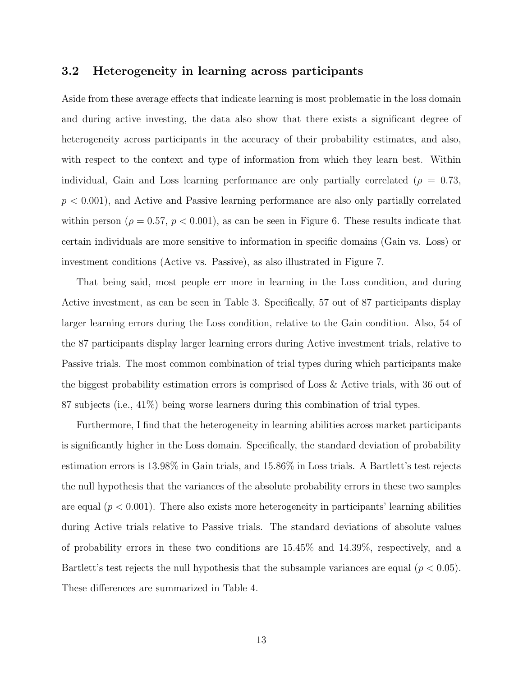### 3.2 Heterogeneity in learning across participants

Aside from these average effects that indicate learning is most problematic in the loss domain and during active investing, the data also show that there exists a significant degree of heterogeneity across participants in the accuracy of their probability estimates, and also, with respect to the context and type of information from which they learn best. Within individual, Gain and Loss learning performance are only partially correlated ( $\rho = 0.73$ ,  $p < 0.001$ , and Active and Passive learning performance are also only partially correlated within person ( $\rho = 0.57$ ,  $p < 0.001$ ), as can be seen in Figure 6. These results indicate that certain individuals are more sensitive to information in specific domains (Gain vs. Loss) or investment conditions (Active vs. Passive), as also illustrated in Figure 7.

That being said, most people err more in learning in the Loss condition, and during Active investment, as can be seen in Table 3. Specifically, 57 out of 87 participants display larger learning errors during the Loss condition, relative to the Gain condition. Also, 54 of the 87 participants display larger learning errors during Active investment trials, relative to Passive trials. The most common combination of trial types during which participants make the biggest probability estimation errors is comprised of Loss & Active trials, with 36 out of 87 subjects (i.e., 41%) being worse learners during this combination of trial types.

Furthermore, I find that the heterogeneity in learning abilities across market participants is significantly higher in the Loss domain. Specifically, the standard deviation of probability estimation errors is 13.98% in Gain trials, and 15.86% in Loss trials. A Bartlett's test rejects the null hypothesis that the variances of the absolute probability errors in these two samples are equal  $(p < 0.001)$ . There also exists more heterogeneity in participants' learning abilities during Active trials relative to Passive trials. The standard deviations of absolute values of probability errors in these two conditions are 15.45% and 14.39%, respectively, and a Bartlett's test rejects the null hypothesis that the subsample variances are equal  $(p < 0.05)$ . These differences are summarized in Table 4.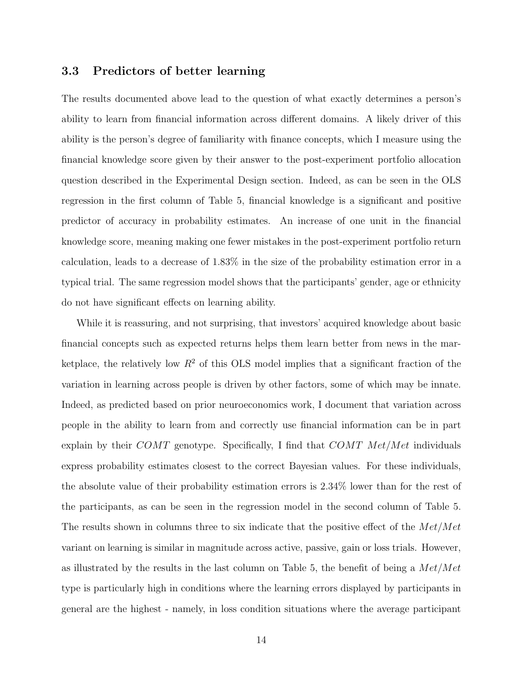### 3.3 Predictors of better learning

The results documented above lead to the question of what exactly determines a person's ability to learn from financial information across different domains. A likely driver of this ability is the person's degree of familiarity with finance concepts, which I measure using the financial knowledge score given by their answer to the post-experiment portfolio allocation question described in the Experimental Design section. Indeed, as can be seen in the OLS regression in the first column of Table 5, financial knowledge is a significant and positive predictor of accuracy in probability estimates. An increase of one unit in the financial knowledge score, meaning making one fewer mistakes in the post-experiment portfolio return calculation, leads to a decrease of 1.83% in the size of the probability estimation error in a typical trial. The same regression model shows that the participants' gender, age or ethnicity do not have significant effects on learning ability.

While it is reassuring, and not surprising, that investors' acquired knowledge about basic financial concepts such as expected returns helps them learn better from news in the marketplace, the relatively low  $R^2$  of this OLS model implies that a significant fraction of the variation in learning across people is driven by other factors, some of which may be innate. Indeed, as predicted based on prior neuroeconomics work, I document that variation across people in the ability to learn from and correctly use financial information can be in part explain by their  $COMT$  genotype. Specifically, I find that  $COMT$  Met/Met individuals express probability estimates closest to the correct Bayesian values. For these individuals, the absolute value of their probability estimation errors is 2.34% lower than for the rest of the participants, as can be seen in the regression model in the second column of Table 5. The results shown in columns three to six indicate that the positive effect of the  $Met/Met$ variant on learning is similar in magnitude across active, passive, gain or loss trials. However, as illustrated by the results in the last column on Table 5, the benefit of being a  $Met/Met$ type is particularly high in conditions where the learning errors displayed by participants in general are the highest - namely, in loss condition situations where the average participant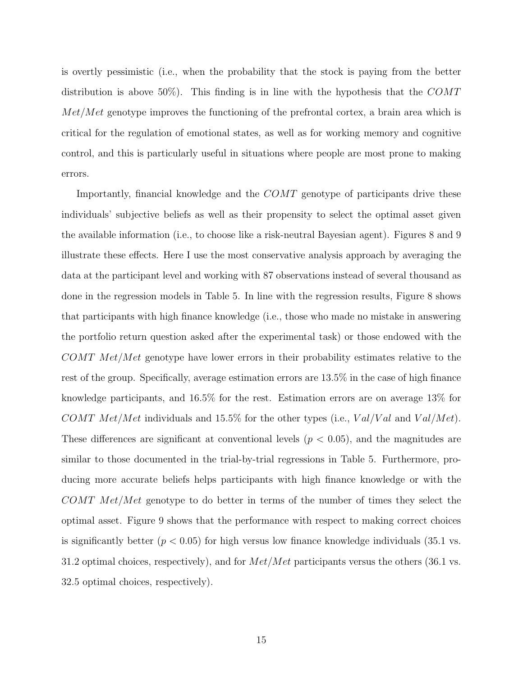is overtly pessimistic (i.e., when the probability that the stock is paying from the better distribution is above 50%). This finding is in line with the hypothesis that the  $COMT$  $Met/Met$  genotype improves the functioning of the prefrontal cortex, a brain area which is critical for the regulation of emotional states, as well as for working memory and cognitive control, and this is particularly useful in situations where people are most prone to making errors.

Importantly, financial knowledge and the COMT genotype of participants drive these individuals' subjective beliefs as well as their propensity to select the optimal asset given the available information (i.e., to choose like a risk-neutral Bayesian agent). Figures 8 and 9 illustrate these effects. Here I use the most conservative analysis approach by averaging the data at the participant level and working with 87 observations instead of several thousand as done in the regression models in Table 5. In line with the regression results, Figure 8 shows that participants with high finance knowledge (i.e., those who made no mistake in answering the portfolio return question asked after the experimental task) or those endowed with the COMT Met/Met genotype have lower errors in their probability estimates relative to the rest of the group. Specifically, average estimation errors are 13.5% in the case of high finance knowledge participants, and 16.5% for the rest. Estimation errors are on average 13% for COMT Met/Met individuals and 15.5% for the other types (i.e.,  $Val/Val$  and  $Val/Met$ ). These differences are significant at conventional levels  $(p < 0.05)$ , and the magnitudes are similar to those documented in the trial-by-trial regressions in Table 5. Furthermore, producing more accurate beliefs helps participants with high finance knowledge or with the COMT Met/Met genotype to do better in terms of the number of times they select the optimal asset. Figure 9 shows that the performance with respect to making correct choices is significantly better  $(p < 0.05)$  for high versus low finance knowledge individuals (35.1 vs. 31.2 optimal choices, respectively), and for  $Met/Met$  participants versus the others (36.1 vs. 32.5 optimal choices, respectively).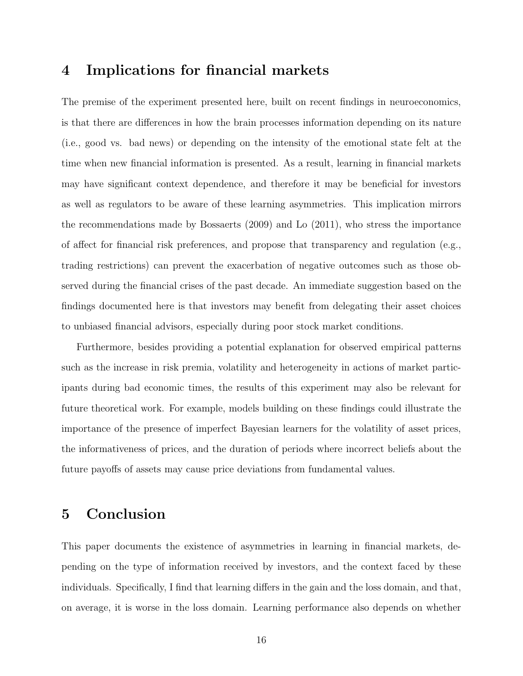# 4 Implications for financial markets

The premise of the experiment presented here, built on recent findings in neuroeconomics, is that there are differences in how the brain processes information depending on its nature (i.e., good vs. bad news) or depending on the intensity of the emotional state felt at the time when new financial information is presented. As a result, learning in financial markets may have significant context dependence, and therefore it may be beneficial for investors as well as regulators to be aware of these learning asymmetries. This implication mirrors the recommendations made by Bossaerts (2009) and Lo (2011), who stress the importance of affect for financial risk preferences, and propose that transparency and regulation (e.g., trading restrictions) can prevent the exacerbation of negative outcomes such as those observed during the financial crises of the past decade. An immediate suggestion based on the findings documented here is that investors may benefit from delegating their asset choices to unbiased financial advisors, especially during poor stock market conditions.

Furthermore, besides providing a potential explanation for observed empirical patterns such as the increase in risk premia, volatility and heterogeneity in actions of market participants during bad economic times, the results of this experiment may also be relevant for future theoretical work. For example, models building on these findings could illustrate the importance of the presence of imperfect Bayesian learners for the volatility of asset prices, the informativeness of prices, and the duration of periods where incorrect beliefs about the future payoffs of assets may cause price deviations from fundamental values.

# 5 Conclusion

This paper documents the existence of asymmetries in learning in financial markets, depending on the type of information received by investors, and the context faced by these individuals. Specifically, I find that learning differs in the gain and the loss domain, and that, on average, it is worse in the loss domain. Learning performance also depends on whether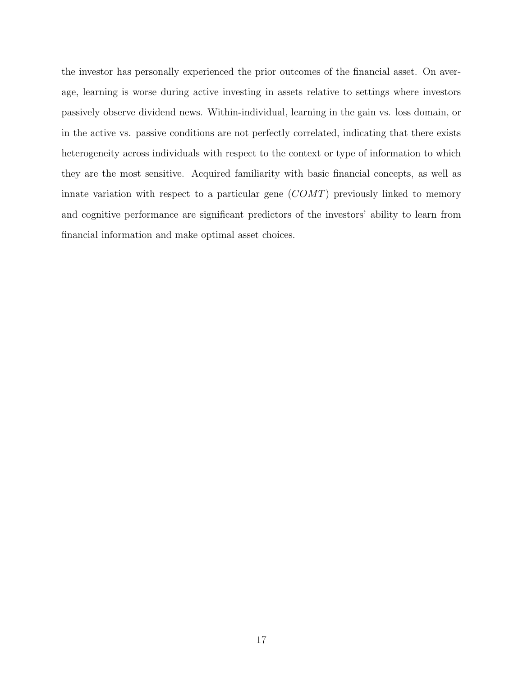the investor has personally experienced the prior outcomes of the financial asset. On average, learning is worse during active investing in assets relative to settings where investors passively observe dividend news. Within-individual, learning in the gain vs. loss domain, or in the active vs. passive conditions are not perfectly correlated, indicating that there exists heterogeneity across individuals with respect to the context or type of information to which they are the most sensitive. Acquired familiarity with basic financial concepts, as well as innate variation with respect to a particular gene  $(COMT)$  previously linked to memory and cognitive performance are significant predictors of the investors' ability to learn from financial information and make optimal asset choices.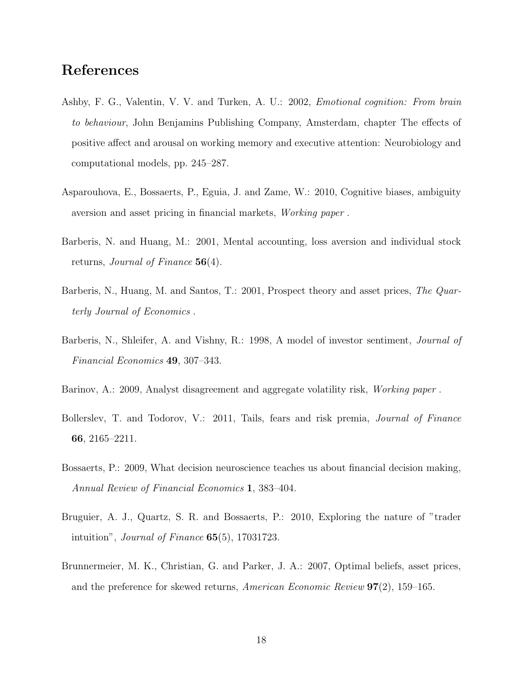# References

- Ashby, F. G., Valentin, V. V. and Turken, A. U.: 2002, Emotional cognition: From brain to behaviour, John Benjamins Publishing Company, Amsterdam, chapter The effects of positive affect and arousal on working memory and executive attention: Neurobiology and computational models, pp. 245–287.
- Asparouhova, E., Bossaerts, P., Eguia, J. and Zame, W.: 2010, Cognitive biases, ambiguity aversion and asset pricing in financial markets, Working paper .
- Barberis, N. and Huang, M.: 2001, Mental accounting, loss aversion and individual stock returns, Journal of Finance 56(4).
- Barberis, N., Huang, M. and Santos, T.: 2001, Prospect theory and asset prices, The Quarterly Journal of Economics .
- Barberis, N., Shleifer, A. and Vishny, R.: 1998, A model of investor sentiment, *Journal of* Financial Economics 49, 307–343.
- Barinov, A.: 2009, Analyst disagreement and aggregate volatility risk, Working paper .
- Bollerslev, T. and Todorov, V.: 2011, Tails, fears and risk premia, *Journal of Finance* 66, 2165–2211.
- Bossaerts, P.: 2009, What decision neuroscience teaches us about financial decision making, Annual Review of Financial Economics 1, 383–404.
- Bruguier, A. J., Quartz, S. R. and Bossaerts, P.: 2010, Exploring the nature of "trader intuition", Journal of Finance 65(5), 17031723.
- Brunnermeier, M. K., Christian, G. and Parker, J. A.: 2007, Optimal beliefs, asset prices, and the preference for skewed returns, American Economic Review 97(2), 159–165.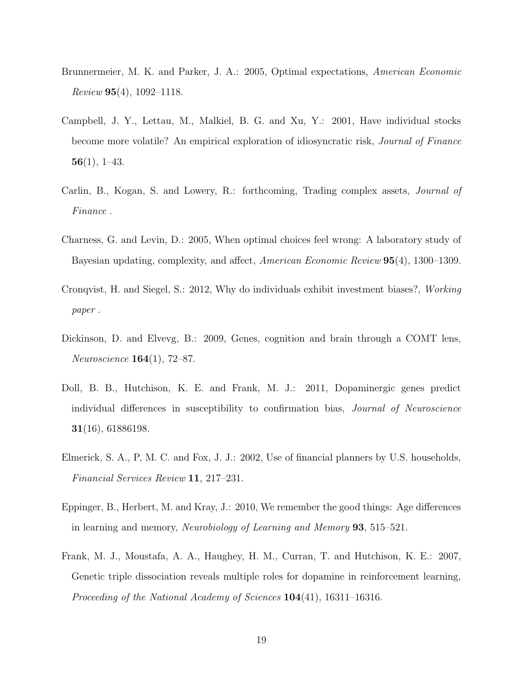- Brunnermeier, M. K. and Parker, J. A.: 2005, Optimal expectations, American Economic  $Review 95(4), 1092-1118.$
- Campbell, J. Y., Lettau, M., Malkiel, B. G. and Xu, Y.: 2001, Have individual stocks become more volatile? An empirical exploration of idiosyncratic risk, Journal of Finance  $56(1), 1-43.$
- Carlin, B., Kogan, S. and Lowery, R.: forthcoming, Trading complex assets, Journal of Finance .
- Charness, G. and Levin, D.: 2005, When optimal choices feel wrong: A laboratory study of Bayesian updating, complexity, and affect, American Economic Review 95(4), 1300–1309.
- Cronqvist, H. and Siegel, S.: 2012, Why do individuals exhibit investment biases?, Working paper .
- Dickinson, D. and Elvevg, B.: 2009, Genes, cognition and brain through a COMT lens, Neuroscience 164(1), 72–87.
- Doll, B. B., Hutchison, K. E. and Frank, M. J.: 2011, Dopaminergic genes predict individual differences in susceptibility to confirmation bias, *Journal of Neuroscience* 31(16), 61886198.
- Elmerick, S. A., P, M. C. and Fox, J. J.: 2002, Use of financial planners by U.S. households, Financial Services Review 11, 217–231.
- Eppinger, B., Herbert, M. and Kray, J.: 2010, We remember the good things: Age differences in learning and memory, Neurobiology of Learning and Memory 93, 515–521.
- Frank, M. J., Moustafa, A. A., Haughey, H. M., Curran, T. and Hutchison, K. E.: 2007, Genetic triple dissociation reveals multiple roles for dopamine in reinforcement learning, Proceeding of the National Academy of Sciences 104(41), 16311–16316.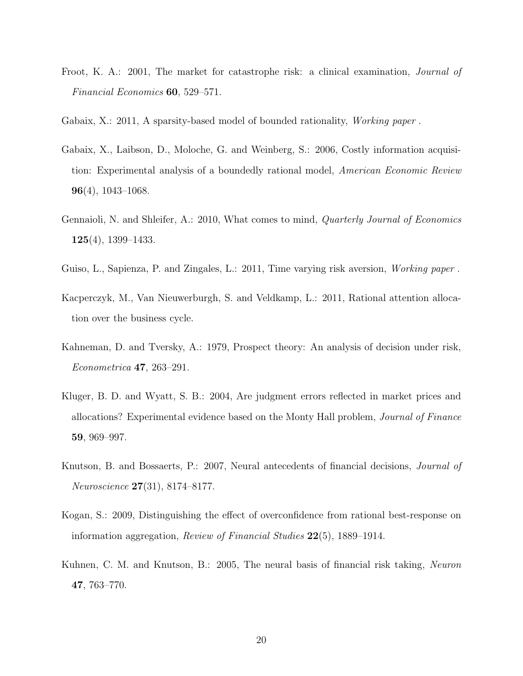- Froot, K. A.: 2001, The market for catastrophe risk: a clinical examination, *Journal of* Financial Economics 60, 529–571.
- Gabaix, X.: 2011, A sparsity-based model of bounded rationality, *Working paper*.
- Gabaix, X., Laibson, D., Moloche, G. and Weinberg, S.: 2006, Costly information acquisition: Experimental analysis of a boundedly rational model, American Economic Review  $96(4)$ , 1043–1068.
- Gennaioli, N. and Shleifer, A.: 2010, What comes to mind, *Quarterly Journal of Economics* 125(4), 1399–1433.
- Guiso, L., Sapienza, P. and Zingales, L.: 2011, Time varying risk aversion, *Working paper*.
- Kacperczyk, M., Van Nieuwerburgh, S. and Veldkamp, L.: 2011, Rational attention allocation over the business cycle.
- Kahneman, D. and Tversky, A.: 1979, Prospect theory: An analysis of decision under risk, Econometrica 47, 263–291.
- Kluger, B. D. and Wyatt, S. B.: 2004, Are judgment errors reflected in market prices and allocations? Experimental evidence based on the Monty Hall problem, Journal of Finance 59, 969–997.
- Knutson, B. and Bossaerts, P.: 2007, Neural antecedents of financial decisions, Journal of Neuroscience 27(31), 8174–8177.
- Kogan, S.: 2009, Distinguishing the effect of overconfidence from rational best-response on information aggregation, Review of Financial Studies 22(5), 1889–1914.
- Kuhnen, C. M. and Knutson, B.: 2005, The neural basis of financial risk taking, Neuron 47, 763–770.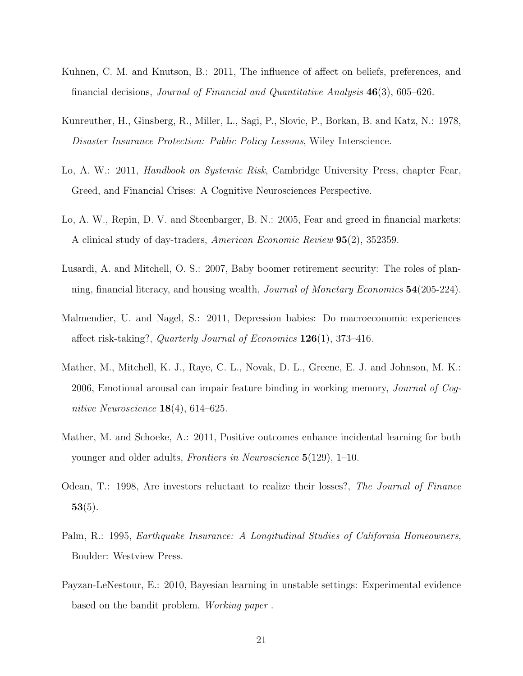- Kuhnen, C. M. and Knutson, B.: 2011, The influence of affect on beliefs, preferences, and financial decisions, Journal of Financial and Quantitative Analysis 46(3), 605–626.
- Kunreuther, H., Ginsberg, R., Miller, L., Sagi, P., Slovic, P., Borkan, B. and Katz, N.: 1978, Disaster Insurance Protection: Public Policy Lessons, Wiley Interscience.
- Lo, A. W.: 2011, *Handbook on Systemic Risk*, Cambridge University Press, chapter Fear, Greed, and Financial Crises: A Cognitive Neurosciences Perspective.
- Lo, A. W., Repin, D. V. and Steenbarger, B. N.: 2005, Fear and greed in financial markets: A clinical study of day-traders, American Economic Review 95(2), 352359.
- Lusardi, A. and Mitchell, O. S.: 2007, Baby boomer retirement security: The roles of planning, financial literacy, and housing wealth, Journal of Monetary Economics 54(205-224).
- Malmendier, U. and Nagel, S.: 2011, Depression babies: Do macroeconomic experiences affect risk-taking?, Quarterly Journal of Economics 126(1), 373–416.
- Mather, M., Mitchell, K. J., Raye, C. L., Novak, D. L., Greene, E. J. and Johnson, M. K.: 2006, Emotional arousal can impair feature binding in working memory, Journal of Cognitive Neuroscience  $18(4)$ , 614–625.
- Mather, M. and Schoeke, A.: 2011, Positive outcomes enhance incidental learning for both younger and older adults, Frontiers in Neuroscience 5(129), 1–10.
- Odean, T.: 1998, Are investors reluctant to realize their losses?, The Journal of Finance  $53(5)$ .
- Palm, R.: 1995, Earthquake Insurance: A Longitudinal Studies of California Homeowners, Boulder: Westview Press.
- Payzan-LeNestour, E.: 2010, Bayesian learning in unstable settings: Experimental evidence based on the bandit problem, Working paper .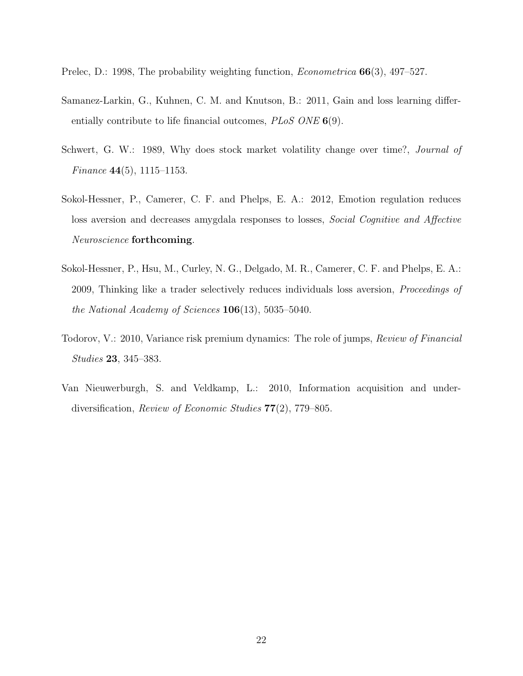Prelec, D.: 1998, The probability weighting function, *Econometrica* **66**(3), 497–527.

- Samanez-Larkin, G., Kuhnen, C. M. and Knutson, B.: 2011, Gain and loss learning differentially contribute to life financial outcomes, *PLoS ONE* 6(9).
- Schwert, G. W.: 1989, Why does stock market volatility change over time?, *Journal of* Finance 44(5), 1115–1153.
- Sokol-Hessner, P., Camerer, C. F. and Phelps, E. A.: 2012, Emotion regulation reduces loss aversion and decreases amygdala responses to losses, *Social Cognitive and Affective* Neuroscience forthcoming.
- Sokol-Hessner, P., Hsu, M., Curley, N. G., Delgado, M. R., Camerer, C. F. and Phelps, E. A.: 2009, Thinking like a trader selectively reduces individuals loss aversion, Proceedings of the National Academy of Sciences  $106(13)$ , 5035–5040.
- Todorov, V.: 2010, Variance risk premium dynamics: The role of jumps, Review of Financial Studies 23, 345–383.
- Van Nieuwerburgh, S. and Veldkamp, L.: 2010, Information acquisition and underdiversification, Review of Economic Studies 77(2), 779–805.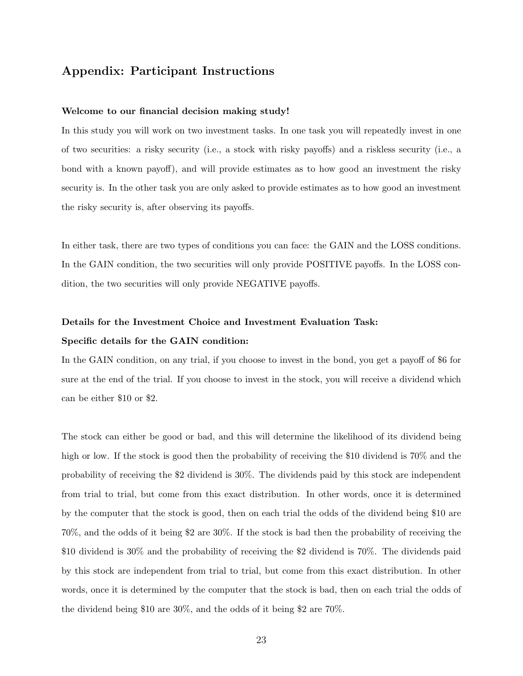### Appendix: Participant Instructions

#### Welcome to our financial decision making study!

In this study you will work on two investment tasks. In one task you will repeatedly invest in one of two securities: a risky security (i.e., a stock with risky payoffs) and a riskless security (i.e., a bond with a known payoff), and will provide estimates as to how good an investment the risky security is. In the other task you are only asked to provide estimates as to how good an investment the risky security is, after observing its payoffs.

In either task, there are two types of conditions you can face: the GAIN and the LOSS conditions. In the GAIN condition, the two securities will only provide POSITIVE payoffs. In the LOSS condition, the two securities will only provide NEGATIVE payoffs.

## Details for the Investment Choice and Investment Evaluation Task: Specific details for the GAIN condition:

In the GAIN condition, on any trial, if you choose to invest in the bond, you get a payoff of \$6 for sure at the end of the trial. If you choose to invest in the stock, you will receive a dividend which can be either \$10 or \$2.

The stock can either be good or bad, and this will determine the likelihood of its dividend being high or low. If the stock is good then the probability of receiving the \$10 dividend is 70% and the probability of receiving the \$2 dividend is 30%. The dividends paid by this stock are independent from trial to trial, but come from this exact distribution. In other words, once it is determined by the computer that the stock is good, then on each trial the odds of the dividend being \$10 are 70%, and the odds of it being \$2 are 30%. If the stock is bad then the probability of receiving the \$10 dividend is 30% and the probability of receiving the \$2 dividend is 70%. The dividends paid by this stock are independent from trial to trial, but come from this exact distribution. In other words, once it is determined by the computer that the stock is bad, then on each trial the odds of the dividend being \$10 are 30%, and the odds of it being \$2 are 70%.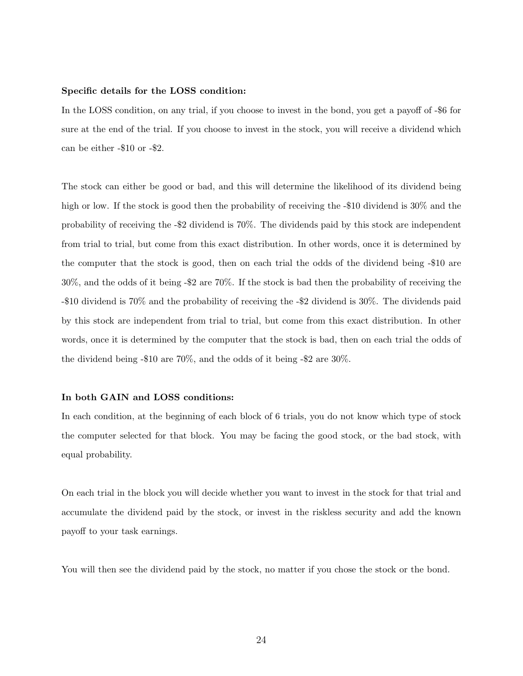#### Specific details for the LOSS condition:

In the LOSS condition, on any trial, if you choose to invest in the bond, you get a payoff of -\$6 for sure at the end of the trial. If you choose to invest in the stock, you will receive a dividend which can be either -\$10 or -\$2.

The stock can either be good or bad, and this will determine the likelihood of its dividend being high or low. If the stock is good then the probability of receiving the -\$10 dividend is 30% and the probability of receiving the -\$2 dividend is 70%. The dividends paid by this stock are independent from trial to trial, but come from this exact distribution. In other words, once it is determined by the computer that the stock is good, then on each trial the odds of the dividend being -\$10 are 30%, and the odds of it being -\$2 are 70%. If the stock is bad then the probability of receiving the -\$10 dividend is 70% and the probability of receiving the -\$2 dividend is 30%. The dividends paid by this stock are independent from trial to trial, but come from this exact distribution. In other words, once it is determined by the computer that the stock is bad, then on each trial the odds of the dividend being -\$10 are 70%, and the odds of it being -\$2 are 30%.

#### In both GAIN and LOSS conditions:

In each condition, at the beginning of each block of 6 trials, you do not know which type of stock the computer selected for that block. You may be facing the good stock, or the bad stock, with equal probability.

On each trial in the block you will decide whether you want to invest in the stock for that trial and accumulate the dividend paid by the stock, or invest in the riskless security and add the known payoff to your task earnings.

You will then see the dividend paid by the stock, no matter if you chose the stock or the bond.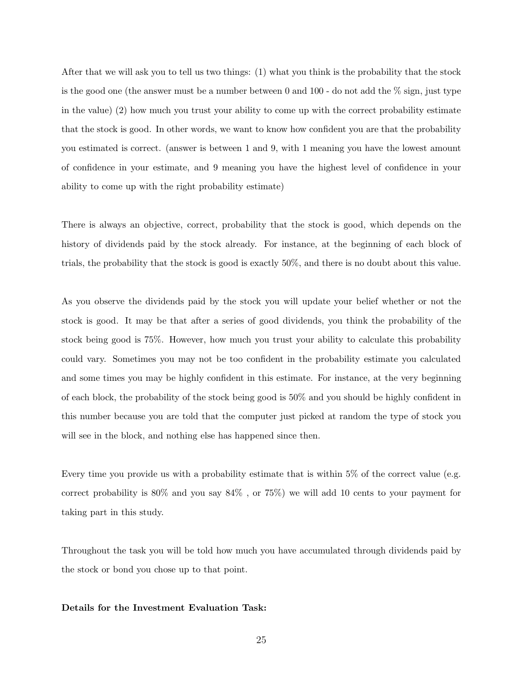After that we will ask you to tell us two things: (1) what you think is the probability that the stock is the good one (the answer must be a number between 0 and  $100$  - do not add the  $\%$  sign, just type in the value) (2) how much you trust your ability to come up with the correct probability estimate that the stock is good. In other words, we want to know how confident you are that the probability you estimated is correct. (answer is between 1 and 9, with 1 meaning you have the lowest amount of confidence in your estimate, and 9 meaning you have the highest level of confidence in your ability to come up with the right probability estimate)

There is always an objective, correct, probability that the stock is good, which depends on the history of dividends paid by the stock already. For instance, at the beginning of each block of trials, the probability that the stock is good is exactly 50%, and there is no doubt about this value.

As you observe the dividends paid by the stock you will update your belief whether or not the stock is good. It may be that after a series of good dividends, you think the probability of the stock being good is 75%. However, how much you trust your ability to calculate this probability could vary. Sometimes you may not be too confident in the probability estimate you calculated and some times you may be highly confident in this estimate. For instance, at the very beginning of each block, the probability of the stock being good is 50% and you should be highly confident in this number because you are told that the computer just picked at random the type of stock you will see in the block, and nothing else has happened since then.

Every time you provide us with a probability estimate that is within 5% of the correct value (e.g. correct probability is 80% and you say 84% , or 75%) we will add 10 cents to your payment for taking part in this study.

Throughout the task you will be told how much you have accumulated through dividends paid by the stock or bond you chose up to that point.

#### Details for the Investment Evaluation Task: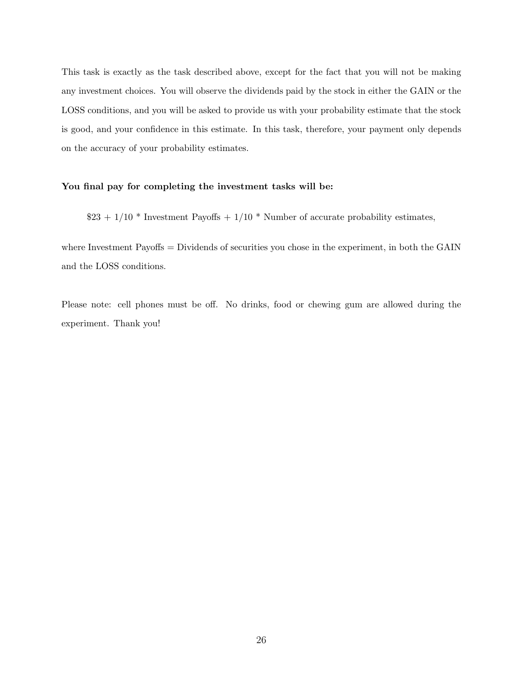This task is exactly as the task described above, except for the fact that you will not be making any investment choices. You will observe the dividends paid by the stock in either the GAIN or the LOSS conditions, and you will be asked to provide us with your probability estimate that the stock is good, and your confidence in this estimate. In this task, therefore, your payment only depends on the accuracy of your probability estimates.

#### You final pay for completing the investment tasks will be:

 $$23 + 1/10 *$  Investment Payoffs + 1/10 \* Number of accurate probability estimates,

where Investment Payoffs = Dividends of securities you chose in the experiment, in both the GAIN and the LOSS conditions.

Please note: cell phones must be off. No drinks, food or chewing gum are allowed during the experiment. Thank you!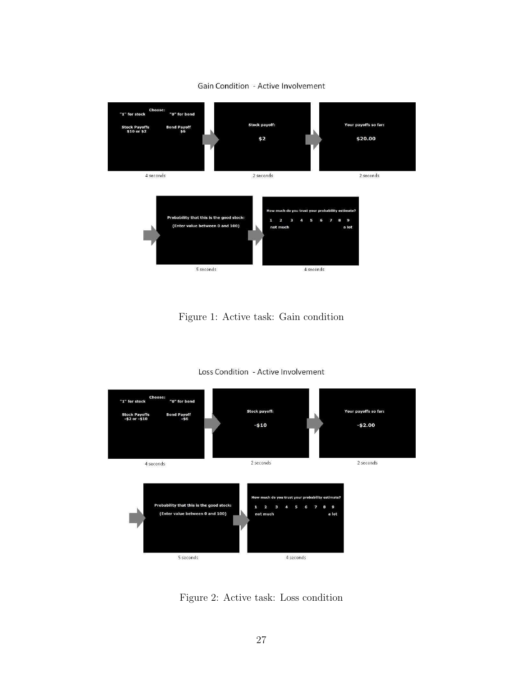

Gain Condition - Active Involvement

Figure 1: Active task: Gain condition



Loss Condition - Active Involvement

Figure 2: Active task: Loss condition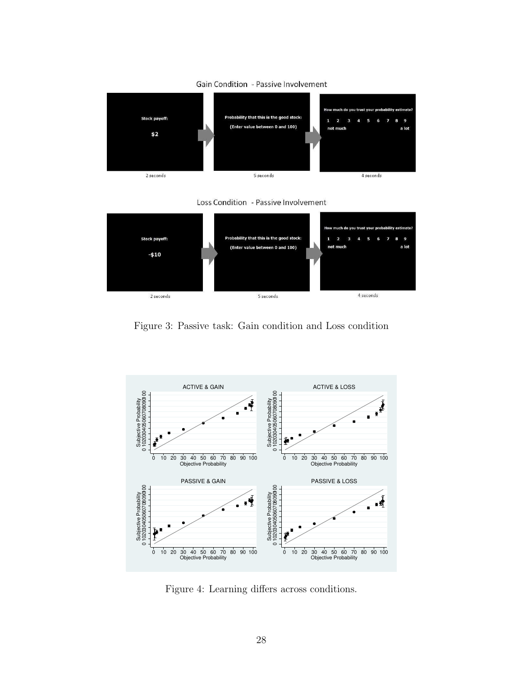

#### **Gain Condition - Passive Involvement**

Loss Condition - Passive Involvement



Figure 3: Passive task: Gain condition and Loss condition



Figure 4: Learning differs across conditions.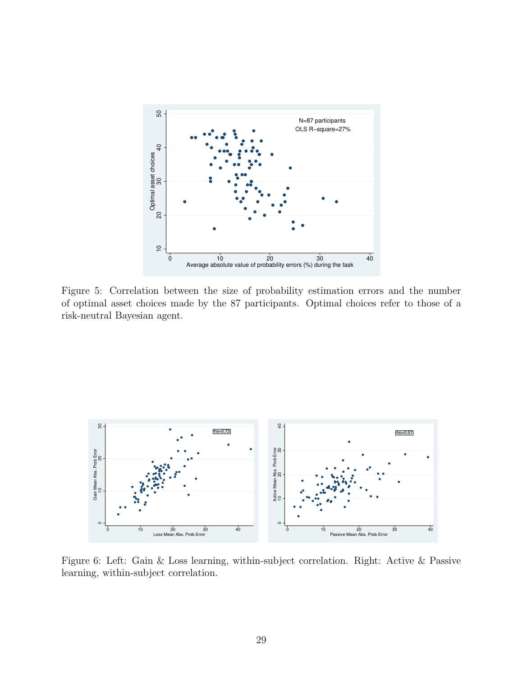

Figure 5: Correlation between the size of probability estimation errors and the number of optimal asset choices made by the 87 participants. Optimal choices refer to those of a risk-neutral Bayesian agent.



Figure 6: Left: Gain & Loss learning, within-subject correlation. Right: Active & Passive learning, within-subject correlation.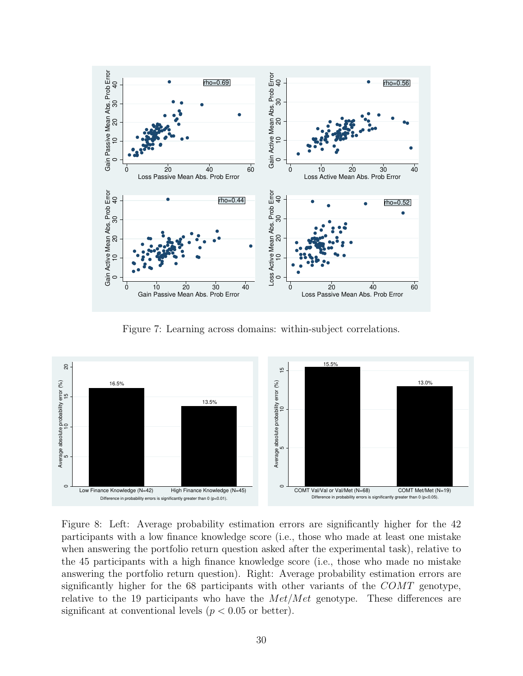

Figure 7: Learning across domains: within-subject correlations.



Figure 8: Left: Average probability estimation errors are significantly higher for the 42 participants with a low finance knowledge score (i.e., those who made at least one mistake when answering the portfolio return question asked after the experimental task), relative to the 45 participants with a high finance knowledge score (i.e., those who made no mistake answering the portfolio return question). Right: Average probability estimation errors are significantly higher for the 68 participants with other variants of the COMT genotype, relative to the 19 participants who have the  $Met/Met$  genotype. These differences are significant at conventional levels ( $p < 0.05$  or better).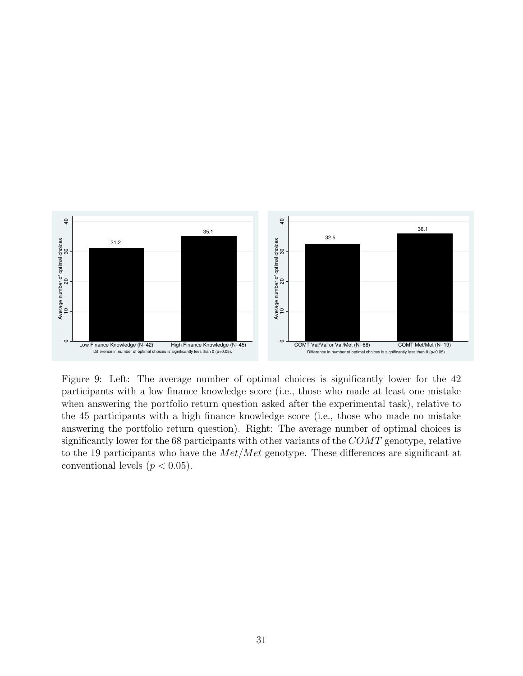

Figure 9: Left: The average number of optimal choices is significantly lower for the 42 participants with a low finance knowledge score (i.e., those who made at least one mistake when answering the portfolio return question asked after the experimental task), relative to the 45 participants with a high finance knowledge score (i.e., those who made no mistake answering the portfolio return question). Right: The average number of optimal choices is significantly lower for the 68 participants with other variants of the COMT genotype, relative to the 19 participants who have the  $Met/Met$  genotype. These differences are significant at conventional levels  $(p < 0.05)$ .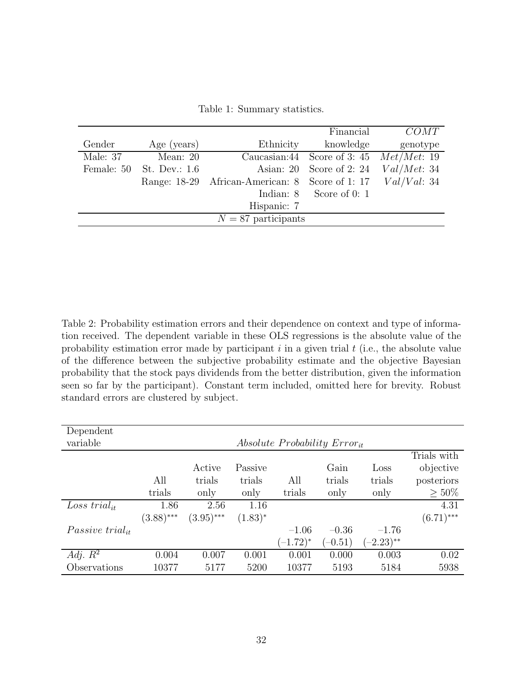|                       |               |                                                 | Financial                                 | COMT        |  |  |
|-----------------------|---------------|-------------------------------------------------|-------------------------------------------|-------------|--|--|
| Gender                | Age (years)   | Ethnicity                                       | knowledge                                 | genotype    |  |  |
| Male: 37              | Mean: $20$    |                                                 | Caucasian:44 Score of 3:45 $Met/Met$ : 19 |             |  |  |
| Female: 50            | St. Dev.: 1.6 |                                                 | Asian: 20 Score of 2:24                   | Val/Met: 34 |  |  |
|                       |               | Range: 18-29 African-American: 8 Score of 1: 17 |                                           | Val/Val: 34 |  |  |
|                       |               |                                                 | Indian: $8$ Score of 0: 1                 |             |  |  |
|                       |               | Hispanic: 7                                     |                                           |             |  |  |
| $N = 87$ participants |               |                                                 |                                           |             |  |  |

Table 1: Summary statistics.

Table 2: Probability estimation errors and their dependence on context and type of information received. The dependent variable in these OLS regressions is the absolute value of the probability estimation error made by participant  $i$  in a given trial  $t$  (i.e., the absolute value of the difference between the subjective probability estimate and the objective Bayesian probability that the stock pays dividends from the better distribution, given the information seen so far by the participant). Constant term included, omitted here for brevity. Robust standard errors are clustered by subject.

| Dependent                |                                                |              |              |               |           |              |              |
|--------------------------|------------------------------------------------|--------------|--------------|---------------|-----------|--------------|--------------|
| variable                 | <i>Absolute Probability Error<sub>it</sub></i> |              |              |               |           |              |              |
|                          |                                                |              |              |               |           |              | Trials with  |
|                          |                                                | Active       | Passive      |               | Gain      | Loss         | objective    |
|                          | All                                            | trials       | trials       | All           | trials    | trials       | posteriors   |
|                          | trials                                         | only         | only         | trials        | only      | only         | $> 50\%$     |
| Loss trial <sub>it</sub> | 1.86                                           | 2.56         | 1.16         |               |           |              | 4.31         |
|                          | $(3.88)$ ***                                   | $(3.95)$ *** | $(1.83)^{*}$ |               |           |              | $(6.71)$ *** |
| Passive trial $_{it}$    |                                                |              |              | $-1.06$       | $-0.36$   | $-1.76$      |              |
|                          |                                                |              |              | $(-1.72)^{*}$ | $(-0.51)$ | $(-2.23)$ ** |              |
| Adj. $R^2$               | 0.004                                          | 0.007        | 0.001        | 0.001         | 0.000     | 0.003        | 0.02         |
| Observations             | 10377                                          | 5177         | 5200         | 10377         | 5193      | 5184         | 5938         |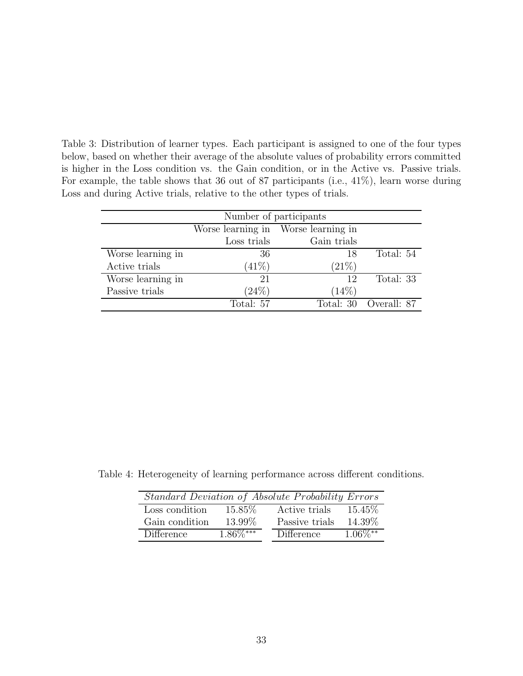Table 3: Distribution of learner types. Each participant is assigned to one of the four types below, based on whether their average of the absolute values of probability errors committed is higher in the Loss condition vs. the Gain condition, or in the Active vs. Passive trials. For example, the table shows that 36 out of 87 participants (i.e., 41%), learn worse during Loss and during Active trials, relative to the other types of trials.

| Number of participants |             |                                     |                       |  |  |
|------------------------|-------------|-------------------------------------|-----------------------|--|--|
|                        |             | Worse learning in Worse learning in |                       |  |  |
|                        | Loss trials | Gain trials                         |                       |  |  |
| Worse learning in      | 36          | 18                                  | Total: 54             |  |  |
| Active trials          | (41%)       | (21%)                               |                       |  |  |
| Worse learning in      | 21          | 12                                  | Total: 33             |  |  |
| Passive trials         | (24%)       | $(14\%)$                            |                       |  |  |
|                        | Total: 57   |                                     | Total: 30 Overall: 87 |  |  |

Table 4: Heterogeneity of learning performance across different conditions.

|                |             | Standard Deviation of Absolute Probability Errors |            |
|----------------|-------------|---------------------------------------------------|------------|
| Loss condition | 15.85\%     | Active trials                                     | 15.45\%    |
| Gain condition | 13.99%      | Passive trials                                    | 14.39%     |
| Difference     | $1.86\%***$ | <b>Difference</b>                                 | $1.06\%**$ |